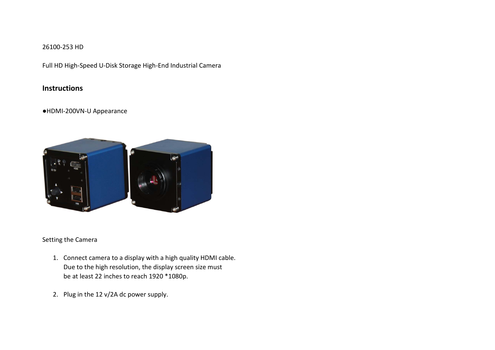## 26100-253 HD

Full HD High-Speed U-Disk Storage High-End Industrial Camera

# **Instructions**

## ●HDMI-200VN-U Appearance



## Setting the Camera

- 1. Connect camera to a display with a high quality HDMI cable. Due to the high resolution, the display screen size must be at least 22 inches to reach 1920 \*1080p.
- 2. Plug in the 12 v/2A dc power supply.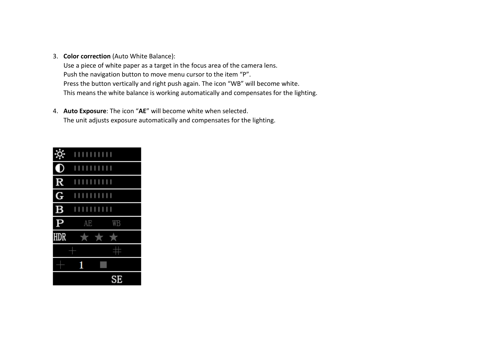3. **Color correction** (Auto White Balance):

Use a piece of white paper as a target in the focus area of the camera lens. Push the navigation button to move menu cursor to the item "P". Press the button vertically and right push again. The icon "WB" will become white. This means the white balance is working automatically and compensates for the lighting.

4. **Auto Exposure**: The icon "**AE**" will become white when selected. The unit adjusts exposure automatically and compensates for the lighting.

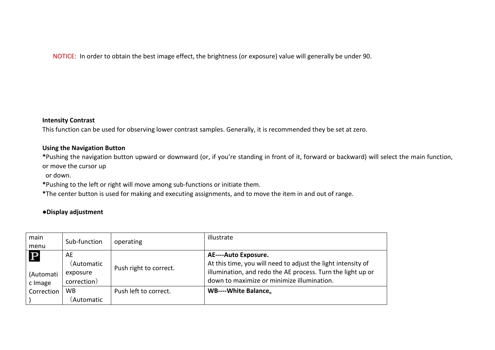NOTICE: In order to obtain the best image effect, the brightness (or exposure) value will generally be under 90.

#### **Intensity Contrast**

This function can be used for observing lower contrast samples. Generally, it is recommended they be set at zero.

#### **Using the Navigation Button**

**\***Pushing the navigation button upward or downward (or, if you're standing in front of it, forward or backward) will select the main function, or move the cursor up

or down.

**\***Pushing to the left or right will move among sub-functions or initiate them.

**\***The center button is used for making and executing assignments, and to move the item in and out of range.

# **●Display adjustment**

| main<br>menu                        | Sub-function                                | operating              | illustrate                                                                                                                                                                                        |
|-------------------------------------|---------------------------------------------|------------------------|---------------------------------------------------------------------------------------------------------------------------------------------------------------------------------------------------|
| $\mathbf P$<br>(Automati<br>c Image | AE<br>(Automatic<br>exposure<br>correction) | Push right to correct. | AE----Auto Exposure.<br>At this time, you will need to adjust the light intensity of<br>illumination, and redo the AE process. Turn the light up or<br>down to maximize or minimize illumination. |
| Correction                          | <b>WB</b><br>(Automatic                     | Push left to correct.  | WB----White Balance.                                                                                                                                                                              |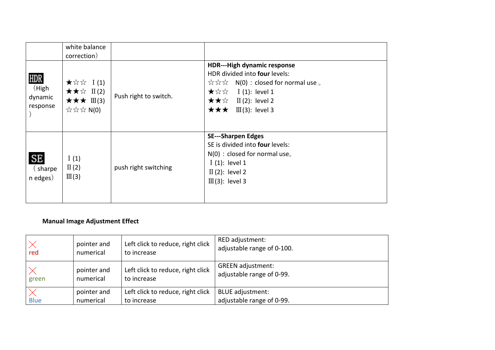|                                      | white balance<br>correction)                                                                                                                                                                                                                                                                                                                                                                                      |                       |                                                                                                                                                                                                                                                        |
|--------------------------------------|-------------------------------------------------------------------------------------------------------------------------------------------------------------------------------------------------------------------------------------------------------------------------------------------------------------------------------------------------------------------------------------------------------------------|-----------------------|--------------------------------------------------------------------------------------------------------------------------------------------------------------------------------------------------------------------------------------------------------|
| HDR<br>(High)<br>dynamic<br>response | $\star \, \forall x \in I(1)$<br>$\star \star \mathrel{\hat{H}} \mathrel{\mathop{\perp\mathrel{\sim}}\,} \mathrel{\mathop{\perp\mathrel{\sim}}\,} \mathrel{\mathop{\perp\mathrel{\sim}}\,} \mathrel{\mathop{\perp\mathrel{\sim}}\,} \mathrel{\mathop{\perp\mathrel{\sim}}\,} \mathrel{\mathop{\perp\mathrel{\sim}}\,} \mathrel{\mathop{\perp\mathrel{\sim}}\,}$<br>$\star \star \star \mathbb{I}$ (3)<br>☆☆☆ N(0) | Push right to switch. | <b>HDR---High dynamic response</b><br>HDR divided into four levels:<br>$\hat{\mathbb{X}} \hat{\mathbb{X}} \hat{\mathbb{X}}$ N(0) : closed for normal use $\circ$<br>★☆☆<br>$I(1)$ : level 1<br><b>★★☆</b> II (2): level 2<br>★★★<br>$III(3)$ : level 3 |
| <b>SE</b><br>(sharpe)<br>n edges)    | I(1)<br>$\Pi(2)$<br>III(3)                                                                                                                                                                                                                                                                                                                                                                                        | push right switching  | <b>SE---Sharpen Edges</b><br>SE is divided into four levels:<br>$N(0)$ : closed for normal use.<br>$I(1)$ : level 1<br>$\text{II}$ (2): level 2<br>$III(3)$ : level 3                                                                                  |

# **Manual Image Adjustment Effect**

| red         | pointer and | Left click to reduce, right click | RED adjustment:            |
|-------------|-------------|-----------------------------------|----------------------------|
|             | numerical   | to increase                       | adjustable range of 0-100. |
| green       | pointer and | Left click to reduce, right click | <b>GREEN</b> adjustment:   |
|             | numerical   | to increase                       | adjustable range of 0-99.  |
| <b>Blue</b> | pointer and | Left click to reduce, right click | <b>BLUE</b> adjustment:    |
|             | numerical   | to increase                       | adjustable range of 0-99.  |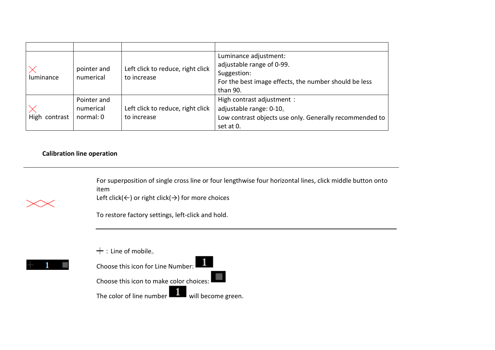| luminance     | pointer and<br>numerical              | Left click to reduce, right click<br>to increase | Luminance adjustment:<br>adjustable range of 0-99.<br>Suggestion:<br>For the best image effects, the number should be less<br>than 90. |
|---------------|---------------------------------------|--------------------------------------------------|----------------------------------------------------------------------------------------------------------------------------------------|
| High contrast | Pointer and<br>numerical<br>normal: 0 | Left click to reduce, right click<br>to increase | High contrast adjustment :<br>adjustable range: 0-10.<br>Low contrast objects use only. Generally recommended to<br>set at 0.          |

Īl,

## **Calibration line operation**

For superposition of single cross line or four lengthwise four horizontal lines, click middle button onto item



Left click( $\leftarrow$ ) or right click( $\rightarrow$ ) for more choices

To restore factory settings, left-click and hold.

 $+$ : Line of mobile。



The color of line number  $\Box$  will become green.